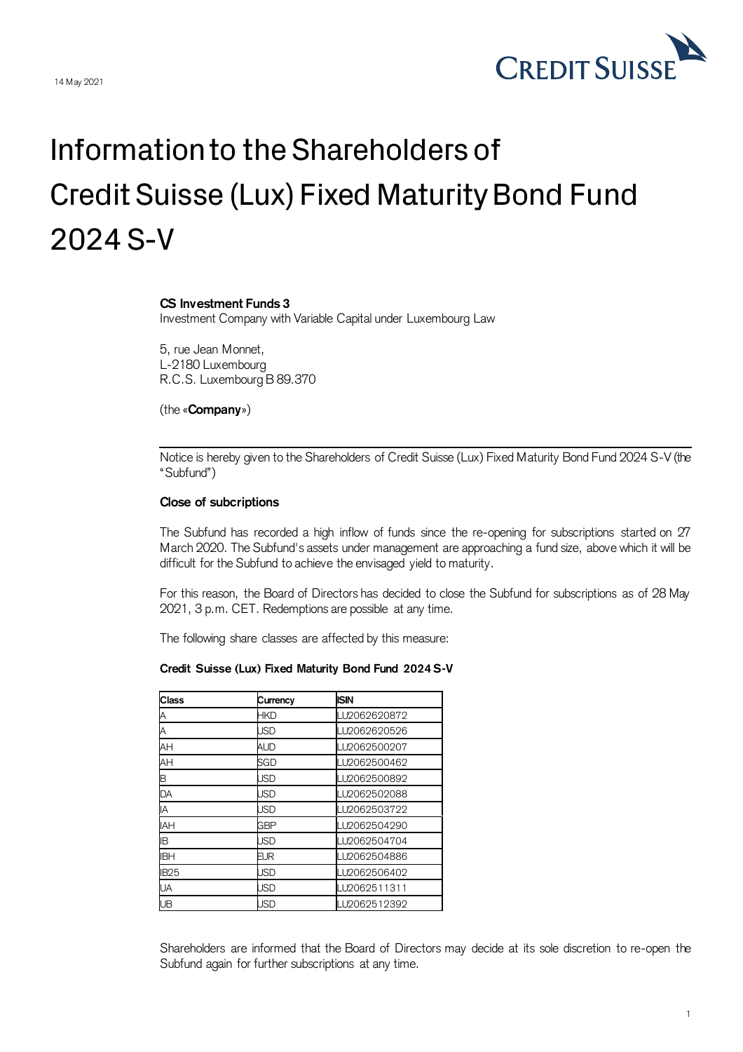

## Information to the Shareholders of Credit Suisse (Lux) Fixed Maturity Bond Fund 2024 S-V

## **CS Investment Funds 3**

Investment Company with Variable Capital under Luxembourg Law

5, rue Jean Monnet, L-2180 Luxembourg R.C.S. Luxembourg B 89.370

(the «**Company**»)

Notice is hereby given to the Shareholders of Credit Suisse (Lux) Fixed Maturity Bond Fund 2024 S-V (the "Subfund")

## **Close of subcriptions**

The Subfund has recorded a high inflow of funds since the re-opening for subscriptions started on 27 March 2020. The Subfund's assets under management are approaching a fund size, above which it will be difficult for the Subfund to achieve the envisaged yield to maturity.

For this reason, the Board of Directors has decided to close the Subfund for subscriptions as of 28 May 2021, 3 p.m. CET. Redemptions are possible at any time.

The following share classes are affected by this measure:

## **Credit Suisse (Lux) Fixed Maturity Bond Fund 2024 S-V**

| Class       | Currency   | <b>ISIN</b>  |
|-------------|------------|--------------|
|             | HKD        | LU2062620872 |
| А           | JSD        | LU2062620526 |
| AH          | <b>AUD</b> | LU2062500207 |
| AH          | SGD        | LU2062500462 |
| B           | <b>JSD</b> | LU2062500892 |
| DA          | <b>JSD</b> | LU2062502088 |
| IA          | <b>JSD</b> | LU2062503722 |
| <b>IAH</b>  | <b>GBP</b> | LU2062504290 |
| ΙB          | JSD        | LU2062504704 |
| <b>IBH</b>  | EUR        | LU2062504886 |
| <b>IB25</b> | <b>JSD</b> | LU2062506402 |
| UA          | <b>JSD</b> | LU2062511311 |
| UB          | <b>JSD</b> | LU2062512392 |

Shareholders are informed that the Board of Directors may decide at its sole discretion to re-open the Subfund again for further subscriptions at any time.